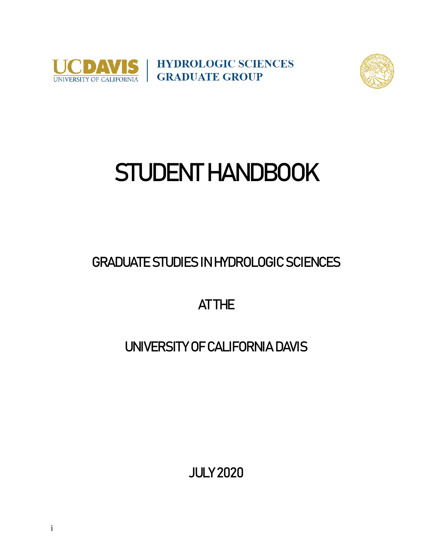

**HYDROLOGIC SCIENCES** UNIVERSITY OF CALIFORNIA GRADUATE GROUP



# STUDENT HANDBOOK

GRADUATE STUDIES IN HYDROLOGIC SCIENCES

AT THE

# UNIVERSITY OF CALIFORNIA DAVIS

JULY 2020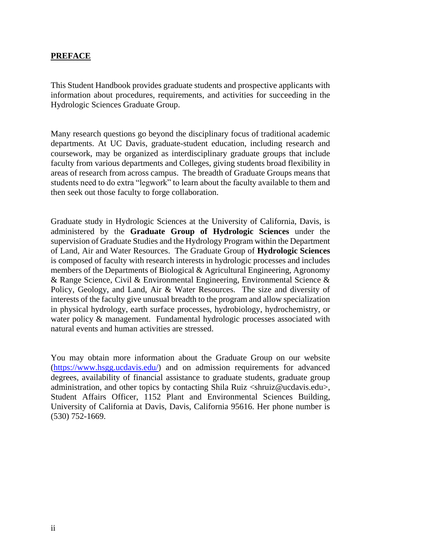#### **PREFACE**

This Student Handbook provides graduate students and prospective applicants with information about procedures, requirements, and activities for succeeding in the Hydrologic Sciences Graduate Group.

Many research questions go beyond the disciplinary focus of traditional academic departments. At UC Davis, graduate-student education, including research and coursework, may be organized as interdisciplinary graduate groups that include faculty from various departments and Colleges, giving students broad flexibility in areas of research from across campus. The breadth of Graduate Groups means that students need to do extra "legwork" to learn about the faculty available to them and then seek out those faculty to forge collaboration.

Graduate study in Hydrologic Sciences at the University of California, Davis, is administered by the **Graduate Group of Hydrologic Sciences** under the supervision of Graduate Studies and the Hydrology Program within the Department of Land, Air and Water Resources. The Graduate Group of **Hydrologic Sciences** is composed of faculty with research interests in hydrologic processes and includes members of the Departments of Biological & Agricultural Engineering, Agronomy & Range Science, Civil & Environmental Engineering, Environmental Science & Policy, Geology, and Land, Air & Water Resources. The size and diversity of interests of the faculty give unusual breadth to the program and allow specialization in physical hydrology, earth surface processes, hydrobiology, hydrochemistry, or water policy & management. Fundamental hydrologic processes associated with natural events and human activities are stressed.

You may obtain more information about the Graduate Group on our website [\(https://www.hsgg.ucdavis.edu/\)](https://www.hsgg.ucdavis.edu/) and on admission requirements for advanced degrees, availability of financial assistance to graduate students, graduate group administration, and other topics by contacting Shila Ruiz <shruiz@ucdavis.edu>, Student Affairs Officer, 1152 Plant and Environmental Sciences Building, University of California at Davis, Davis, California 95616. Her phone number is (530) 752-1669.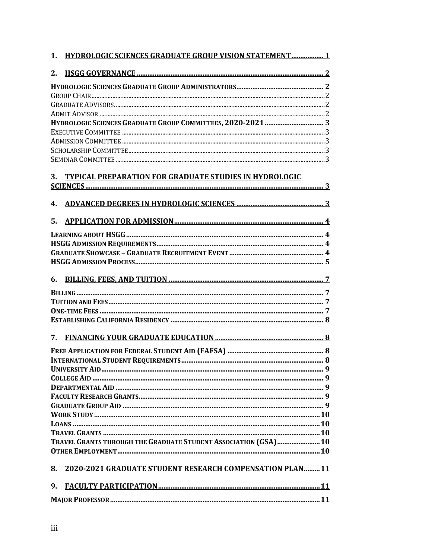| 1. | <b>HYDROLOGIC SCIENCES GRADUATE GROUP VISION STATEMENT 1</b>    |  |
|----|-----------------------------------------------------------------|--|
| 2. |                                                                 |  |
|    |                                                                 |  |
|    |                                                                 |  |
|    |                                                                 |  |
|    |                                                                 |  |
|    |                                                                 |  |
|    |                                                                 |  |
|    |                                                                 |  |
|    |                                                                 |  |
| 3. | <b>TYPICAL PREPARATION FOR GRADUATE STUDIES IN HYDROLOGIC</b>   |  |
|    |                                                                 |  |
|    |                                                                 |  |
| 4. |                                                                 |  |
| 5. |                                                                 |  |
|    |                                                                 |  |
|    |                                                                 |  |
|    |                                                                 |  |
|    |                                                                 |  |
| 6. |                                                                 |  |
|    |                                                                 |  |
|    |                                                                 |  |
|    |                                                                 |  |
|    |                                                                 |  |
| 7. |                                                                 |  |
|    |                                                                 |  |
|    |                                                                 |  |
|    |                                                                 |  |
|    |                                                                 |  |
|    |                                                                 |  |
|    |                                                                 |  |
|    |                                                                 |  |
|    |                                                                 |  |
|    |                                                                 |  |
|    |                                                                 |  |
|    | TRAVEL GRANTS THROUGH THE GRADUATE STUDENT ASSOCIATION (GSA) 10 |  |
|    |                                                                 |  |
| 8. | <b>2020-2021 GRADUATE STUDENT RESEARCH COMPENSATION PLAN 11</b> |  |
| 9. |                                                                 |  |
|    |                                                                 |  |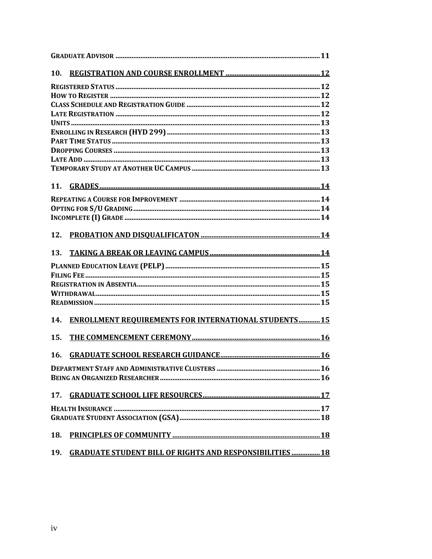| 10. |                                                                 |  |
|-----|-----------------------------------------------------------------|--|
|     |                                                                 |  |
|     |                                                                 |  |
|     |                                                                 |  |
|     |                                                                 |  |
|     |                                                                 |  |
|     |                                                                 |  |
|     |                                                                 |  |
|     |                                                                 |  |
|     |                                                                 |  |
|     |                                                                 |  |
| 11. |                                                                 |  |
|     |                                                                 |  |
|     |                                                                 |  |
|     |                                                                 |  |
| 12. |                                                                 |  |
| 13. |                                                                 |  |
|     |                                                                 |  |
|     |                                                                 |  |
|     |                                                                 |  |
|     |                                                                 |  |
|     |                                                                 |  |
| 14. | <b>ENROLLMENT REQUIREMENTS FOR INTERNATIONAL STUDENTS 15</b>    |  |
| 15. |                                                                 |  |
| 16. |                                                                 |  |
|     |                                                                 |  |
|     |                                                                 |  |
| 17. |                                                                 |  |
|     |                                                                 |  |
|     |                                                                 |  |
| 18. |                                                                 |  |
| 19. | <b>GRADUATE STUDENT BILL OF RIGHTS AND RESPONSIBILITIES  18</b> |  |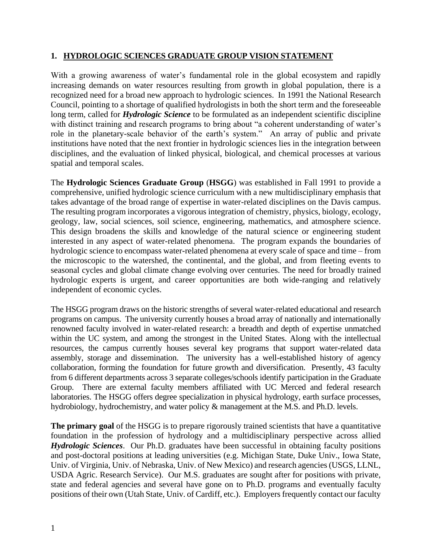#### **1. HYDROLOGIC SCIENCES GRADUATE GROUP VISION STATEMENT**

With a growing awareness of water's fundamental role in the global ecosystem and rapidly increasing demands on water resources resulting from growth in global population, there is a recognized need for a broad new approach to hydrologic sciences. In 1991 the National Research Council, pointing to a shortage of qualified hydrologists in both the short term and the foreseeable long term, called for **Hydrologic Science** to be formulated as an independent scientific discipline with distinct training and research programs to bring about "a coherent understanding of water's role in the planetary-scale behavior of the earth's system." An array of public and private institutions have noted that the next frontier in hydrologic sciences lies in the integration between disciplines, and the evaluation of linked physical, biological, and chemical processes at various spatial and temporal scales.

The **Hydrologic Sciences Graduate Group** (**HSGG**) was established in Fall 1991 to provide a comprehensive, unified hydrologic science curriculum with a new multidisciplinary emphasis that takes advantage of the broad range of expertise in water-related disciplines on the Davis campus. The resulting program incorporates a vigorous integration of chemistry, physics, biology, ecology, geology, law, social sciences, soil science, engineering, mathematics, and atmosphere science. This design broadens the skills and knowledge of the natural science or engineering student interested in any aspect of water-related phenomena. The program expands the boundaries of hydrologic science to encompass water-related phenomena at every scale of space and time – from the microscopic to the watershed, the continental, and the global, and from fleeting events to seasonal cycles and global climate change evolving over centuries. The need for broadly trained hydrologic experts is urgent, and career opportunities are both wide-ranging and relatively independent of economic cycles.

The HSGG program draws on the historic strengths of several water-related educational and research programs on campus. The university currently houses a broad array of nationally and internationally renowned faculty involved in water-related research: a breadth and depth of expertise unmatched within the UC system, and among the strongest in the United States. Along with the intellectual resources, the campus currently houses several key programs that support water-related data assembly, storage and dissemination. The university has a well-established history of agency collaboration, forming the foundation for future growth and diversification. Presently, 43 faculty from 6 different departments across 3 separate colleges/schools identify participation in the Graduate Group. There are external faculty members affiliated with UC Merced and federal research laboratories. The HSGG offers degree specialization in physical hydrology, earth surface processes, hydrobiology, hydrochemistry, and water policy & management at the M.S. and Ph.D. levels.

**The primary goal** of the HSGG is to prepare rigorously trained scientists that have a quantitative foundation in the profession of hydrology and a multidisciplinary perspective across allied *Hydrologic Sciences*. Our Ph.D. graduates have been successful in obtaining faculty positions and post-doctoral positions at leading universities (e.g. Michigan State, Duke Univ., Iowa State, Univ. of Virginia, Univ. of Nebraska, Univ. of New Mexico) and research agencies (USGS, LLNL, USDA Agric. Research Service). Our M.S. graduates are sought after for positions with private, state and federal agencies and several have gone on to Ph.D. programs and eventually faculty positions of their own (Utah State, Univ. of Cardiff, etc.). Employers frequently contact our faculty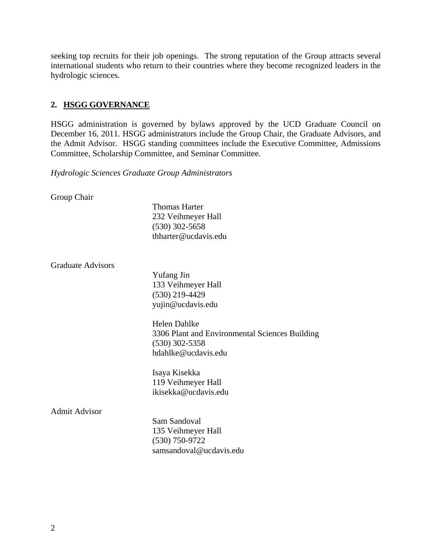seeking top recruits for their job openings. The strong reputation of the Group attracts several international students who return to their countries where they become recognized leaders in the hydrologic sciences.

# **2. HSGG GOVERNANCE**

HSGG administration is governed by bylaws approved by the UCD Graduate Council on December 16, 2011. HSGG administrators include the Group Chair, the Graduate Advisors, and the Admit Advisor. HSGG standing committees include the Executive Committee, Admissions Committee, Scholarship Committee, and Seminar Committee.

*Hydrologic Sciences Graduate Group Administrators*

Group Chair

Thomas Harter 232 Veihmeyer Hall (530) 302-5658 thharter@ucdavis.edu

Graduate Advisors

Yufang Jin 133 Veihmeyer Hall (530) 219-4429 yujin@ucdavis.edu

Helen Dahlke 3306 Plant and Environmental Sciences Building (530) 302-5358 hdahlke@ucdavis.edu

Isaya Kisekka 119 Veihmeyer Hall ikisekka@ucdavis.edu

# Admit Advisor

Sam Sandoval 135 Veihmeyer Hall (530) 750-9722 samsandoval@ucdavis.edu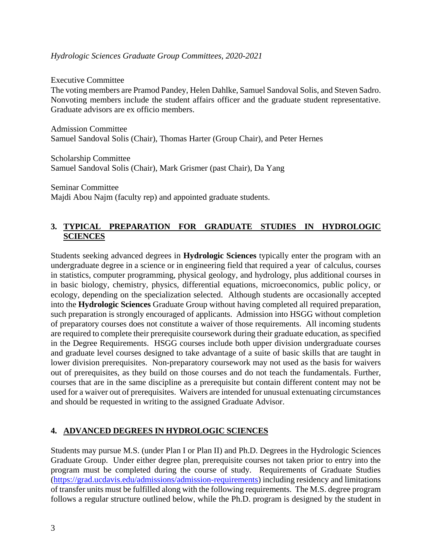#### *Hydrologic Sciences Graduate Group Committees, 2020-2021*

Executive Committee The voting members are Pramod Pandey, Helen Dahlke, Samuel Sandoval Solis, and Steven Sadro. Nonvoting members include the student affairs officer and the graduate student representative. Graduate advisors are ex officio members.

Admission Committee Samuel Sandoval Solis (Chair), Thomas Harter (Group Chair), and Peter Hernes

Scholarship Committee Samuel Sandoval Solis (Chair), Mark Grismer (past Chair), Da Yang

Seminar Committee Majdi Abou Najm (faculty rep) and appointed graduate students.

# **3. TYPICAL PREPARATION FOR GRADUATE STUDIES IN HYDROLOGIC SCIENCES**

Students seeking advanced degrees in **Hydrologic Sciences** typically enter the program with an undergraduate degree in a science or in engineering field that required a year of calculus, courses in statistics, computer programming, physical geology, and hydrology, plus additional courses in in basic biology, chemistry, physics, differential equations, microeconomics, public policy, or ecology, depending on the specialization selected. Although students are occasionally accepted into the **Hydrologic Sciences** Graduate Group without having completed all required preparation, such preparation is strongly encouraged of applicants. Admission into HSGG without completion of preparatory courses does not constitute a waiver of those requirements. All incoming students are required to complete their prerequisite coursework during their graduate education, as specified in the Degree Requirements. HSGG courses include both upper division undergraduate courses and graduate level courses designed to take advantage of a suite of basic skills that are taught in lower division prerequisites. Non-preparatory coursework may not used as the basis for waivers out of prerequisites, as they build on those courses and do not teach the fundamentals. Further, courses that are in the same discipline as a prerequisite but contain different content may not be used for a waiver out of prerequisites. Waivers are intended for unusual extenuating circumstances and should be requested in writing to the assigned Graduate Advisor.

# **4. ADVANCED DEGREES IN HYDROLOGIC SCIENCES**

Students may pursue M.S. (under Plan I or Plan II) and Ph.D. Degrees in the Hydrologic Sciences Graduate Group. Under either degree plan, prerequisite courses not taken prior to entry into the program must be completed during the course of study. Requirements of Graduate Studies [\(https://grad.ucdavis.edu/admissions/admission-requirements\)](https://grad.ucdavis.edu/admissions/admission-requirements) including residency and limitations of transfer units must be fulfilled along with the following requirements. The M.S. degree program follows a regular structure outlined below, while the Ph.D. program is designed by the student in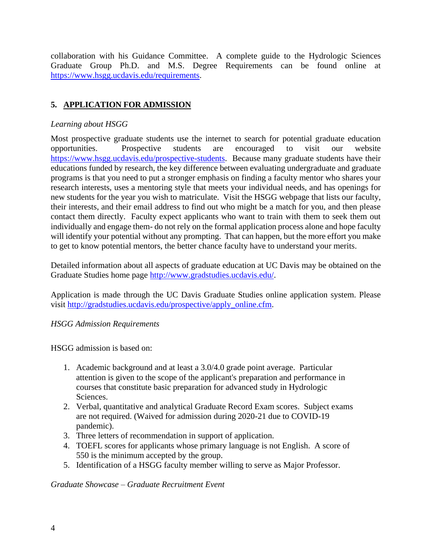collaboration with his Guidance Committee. A complete guide to the Hydrologic Sciences Graduate Group Ph.D. and M.S. Degree Requirements can be found online at [https://www.hsgg.ucdavis.edu/requirements.](https://www.hsgg.ucdavis.edu/requirements)

# **5. APPLICATION FOR ADMISSION**

# *Learning about HSGG*

Most prospective graduate students use the internet to search for potential graduate education opportunities. Prospective students are encouraged to visit our website [https://www.hsgg.ucdavis.edu/prospective-students.](https://www.hsgg.ucdavis.edu/prospective-students) Because many graduate students have their educations funded by research, the key difference between evaluating undergraduate and graduate programs is that you need to put a stronger emphasis on finding a faculty mentor who shares your research interests, uses a mentoring style that meets your individual needs, and has openings for new students for the year you wish to matriculate. Visit the HSGG webpage that lists our faculty, their interests, and their email address to find out who might be a match for you, and then please contact them directly. Faculty expect applicants who want to train with them to seek them out individually and engage them- do not rely on the formal application process alone and hope faculty will identify your potential without any prompting. That can happen, but the more effort you make to get to know potential mentors, the better chance faculty have to understand your merits.

Detailed information about all aspects of graduate education at UC Davis may be obtained on the Graduate Studies home page [http://www.gradstudies.ucdavis.edu/.](http://www.gradstudies.ucdavis.edu/)

Application is made through the UC Davis Graduate Studies online application system. Please visit [http://gradstudies.ucdavis.edu/prospective/apply\\_online.cfm.](http://gradstudies.ucdavis.edu/prospective/apply_online.cfm)

# *HSGG Admission Requirements*

HSGG admission is based on:

- 1. Academic background and at least a 3.0/4.0 grade point average. Particular attention is given to the scope of the applicant's preparation and performance in courses that constitute basic preparation for advanced study in Hydrologic Sciences.
- 2. Verbal, quantitative and analytical Graduate Record Exam scores. Subject exams are not required. (Waived for admission during 2020-21 due to COVID-19 pandemic).
- 3. Three letters of recommendation in support of application.
- 4. TOEFL scores for applicants whose primary language is not English. A score of 550 is the minimum accepted by the group.
- 5. Identification of a HSGG faculty member willing to serve as Major Professor.

#### *Graduate Showcase – Graduate Recruitment Event*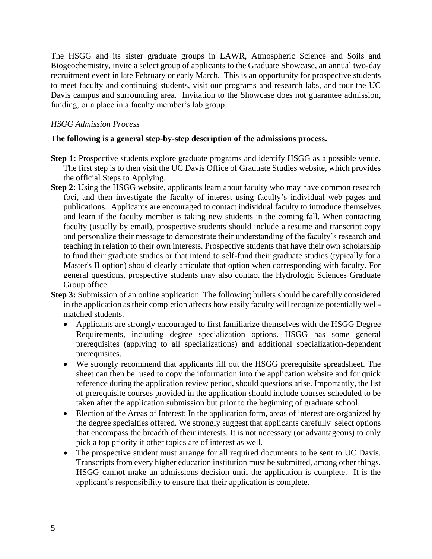The HSGG and its sister graduate groups in LAWR, Atmospheric Science and Soils and Biogeochemistry, invite a select group of applicants to the Graduate Showcase, an annual two-day recruitment event in late February or early March. This is an opportunity for prospective students to meet faculty and continuing students, visit our programs and research labs, and tour the UC Davis campus and surrounding area. Invitation to the Showcase does not guarantee admission, funding, or a place in a faculty member's lab group.

#### *HSGG Admission Process*

#### **The following is a general step-by-step description of the admissions process.**

- **Step 1:** Prospective students explore graduate programs and identify HSGG as a possible venue. The first step is to then visit the UC Davis Office of Graduate Studies website, which provides the official Steps to Applying.
- **Step 2:** Using the HSGG website, applicants learn about faculty who may have common research foci, and then investigate the faculty of interest using faculty's individual web pages and publications. Applicants are encouraged to contact individual faculty to introduce themselves and learn if the faculty member is taking new students in the coming fall. When contacting faculty (usually by email), prospective students should include a resume and transcript copy and personalize their message to demonstrate their understanding of the faculty's research and teaching in relation to their own interests. Prospective students that have their own scholarship to fund their graduate studies or that intend to self-fund their graduate studies (typically for a Master's II option) should clearly articulate that option when corresponding with faculty. For general questions, prospective students may also contact the Hydrologic Sciences Graduate Group office.
- **Step 3:** Submission of an online application. The following bullets should be carefully considered in the application as their completion affects how easily faculty will recognize potentially wellmatched students.
	- Applicants are strongly encouraged to first familiarize themselves with the HSGG Degree Requirements, including degree specialization options. HSGG has some general prerequisites (applying to all specializations) and additional specialization-dependent prerequisites.
	- We strongly recommend that applicants fill out the HSGG prerequisite spreadsheet. The sheet can then be used to copy the information into the application website and for quick reference during the application review period, should questions arise. Importantly, the list of prerequisite courses provided in the application should include courses scheduled to be taken after the application submission but prior to the beginning of graduate school.
	- Election of the Areas of Interest: In the application form, areas of interest are organized by the degree specialties offered. We strongly suggest that applicants carefully select options that encompass the breadth of their interests. It is not necessary (or advantageous) to only pick a top priority if other topics are of interest as well.
	- The prospective student must arrange for all required documents to be sent to UC Davis. Transcripts from every higher education institution must be submitted, among other things. HSGG cannot make an admissions decision until the application is complete. It is the applicant's responsibility to ensure that their application is complete.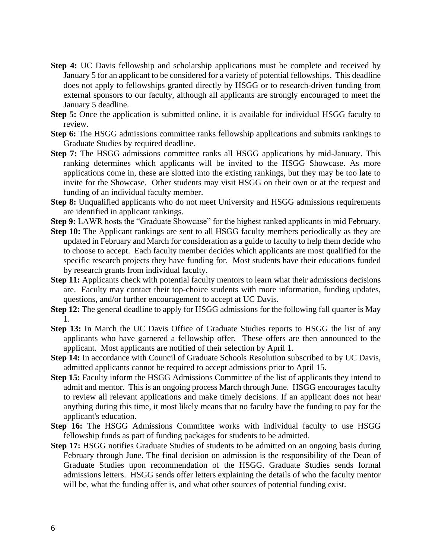- **Step 4:** UC Davis fellowship and scholarship applications must be complete and received by January 5 for an applicant to be considered for a variety of potential fellowships. This deadline does not apply to fellowships granted directly by HSGG or to research-driven funding from external sponsors to our faculty, although all applicants are strongly encouraged to meet the January 5 deadline.
- **Step 5:** Once the application is submitted online, it is available for individual HSGG faculty to review.
- **Step 6:** The HSGG admissions committee ranks fellowship applications and submits rankings to Graduate Studies by required deadline.
- **Step 7:** The HSGG admissions committee ranks all HSGG applications by mid-January. This ranking determines which applicants will be invited to the HSGG Showcase. As more applications come in, these are slotted into the existing rankings, but they may be too late to invite for the Showcase. Other students may visit HSGG on their own or at the request and funding of an individual faculty member.
- **Step 8:** Unqualified applicants who do not meet University and HSGG admissions requirements are identified in applicant rankings.
- **Step 9:** LAWR hosts the "Graduate Showcase" for the highest ranked applicants in mid February.
- **Step 10:** The Applicant rankings are sent to all HSGG faculty members periodically as they are updated in February and March for consideration as a guide to faculty to help them decide who to choose to accept. Each faculty member decides which applicants are most qualified for the specific research projects they have funding for. Most students have their educations funded by research grants from individual faculty.
- **Step 11:** Applicants check with potential faculty mentors to learn what their admissions decisions are. Faculty may contact their top-choice students with more information, funding updates, questions, and/or further encouragement to accept at UC Davis.
- **Step 12:** The general deadline to apply for HSGG admissions for the following fall quarter is May 1.
- **Step 13:** In March the UC Davis Office of Graduate Studies reports to HSGG the list of any applicants who have garnered a fellowship offer. These offers are then announced to the applicant. Most applicants are notified of their selection by April 1.
- **Step 14:** In accordance with Council of Graduate Schools Resolution subscribed to by UC Davis, admitted applicants cannot be required to accept admissions prior to April 15.
- **Step 15:** Faculty inform the HSGG Admissions Committee of the list of applicants they intend to admit and mentor. This is an ongoing process March through June. HSGG encourages faculty to review all relevant applications and make timely decisions. If an applicant does not hear anything during this time, it most likely means that no faculty have the funding to pay for the applicant's education.
- **Step 16:** The HSGG Admissions Committee works with individual faculty to use HSGG fellowship funds as part of funding packages for students to be admitted.
- **Step 17:** HSGG notifies Graduate Studies of students to be admitted on an ongoing basis during February through June. The final decision on admission is the responsibility of the Dean of Graduate Studies upon recommendation of the HSGG. Graduate Studies sends formal admissions letters. HSGG sends offer letters explaining the details of who the faculty mentor will be, what the funding offer is, and what other sources of potential funding exist.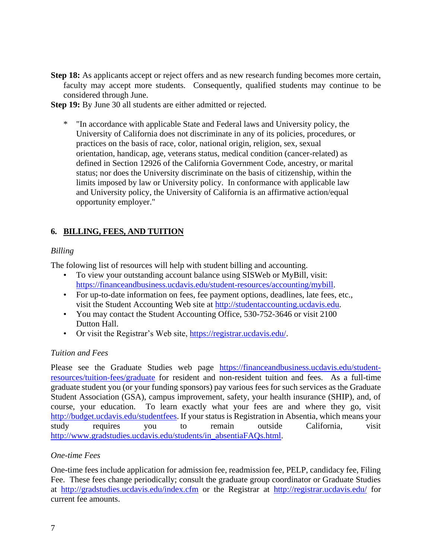**Step 18:** As applicants accept or reject offers and as new research funding becomes more certain, faculty may accept more students. Consequently, qualified students may continue to be considered through June.

**Step 19:** By June 30 all students are either admitted or rejected.

\* "In accordance with applicable State and Federal laws and University policy, the University of California does not discriminate in any of its policies, procedures, or practices on the basis of race, color, national origin, religion, sex, sexual orientation, handicap, age, veterans status, medical condition (cancer-related) as defined in Section 12926 of the California Government Code, ancestry, or marital status; nor does the University discriminate on the basis of citizenship, within the limits imposed by law or University policy. In conformance with applicable law and University policy, the University of California is an affirmative action/equal opportunity employer."

# **6. BILLING, FEES, AND TUITION**

# *Billing*

The folowing list of resources will help with student billing and accounting.

- To view your outstanding account balance using SISWeb or MyBill, visit: [https://financeandbusiness.ucdavis.edu/student-resources/accounting/mybill.](https://financeandbusiness.ucdavis.edu/student-resources/accounting/mybill)
- For up-to-date information on fees, fee payment options, deadlines, late fees, etc., visit the Student Accounting Web site at [http://studentaccounting.ucdavis.edu.](http://studentaccounting.ucdavis.edu/)
- You may contact the Student Accounting Office, 530-752-3646 or visit 2100 Dutton Hall.
- Or visit the Registrar's Web site, [https://registrar.ucdavis.edu/.](https://registrar.ucdavis.edu/)

# *Tuition and Fees*

Please see the Graduate Studies web page [https://financeandbusiness.ucdavis.edu/student](https://financeandbusiness.ucdavis.edu/student-resources/tuition-fees/graduate)[resources/tuition-fees/graduate](https://financeandbusiness.ucdavis.edu/student-resources/tuition-fees/graduate) for resident and non-resident tuition and fees. As a full-time graduate student you (or your funding sponsors) pay various fees for such services as the Graduate Student Association (GSA), campus improvement, safety, your health insurance (SHIP), and, of course, your education. To learn exactly what your fees are and where they go, visit [http://budget.ucdavis.edu/studentfees.](http://budget.ucdavis.edu/studentfees) If your status is Registration in Absentia, which means your study requires you to remain outside California, visit [http://www.gradstudies.ucdavis.edu/students/in\\_absentiaFAQs.html.](http://www.gradstudies.ucdavis.edu/students/in_absentiaFAQs.html)

# *One-time Fees*

One-time fees include application for admission fee, readmission fee, PELP, candidacy fee, Filing Fee. These fees change periodically; consult the graduate group coordinator or Graduate Studies at <http://gradstudies.ucdavis.edu/index.cfm> or the Registrar at <http://registrar.ucdavis.edu/> for current fee amounts.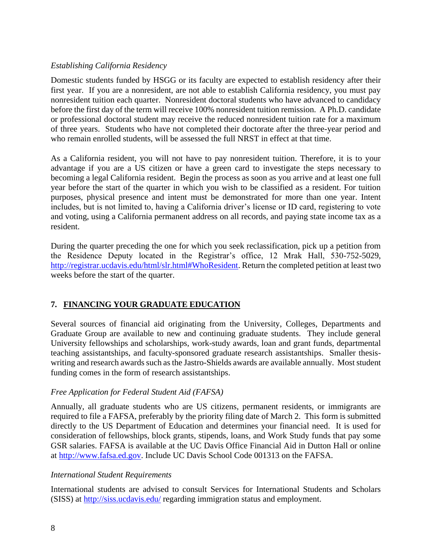#### *Establishing California Residency*

Domestic students funded by HSGG or its faculty are expected to establish residency after their first year. If you are a nonresident, are not able to establish California residency, you must pay nonresident tuition each quarter. Nonresident doctoral students who have advanced to candidacy before the first day of the term will receive 100% nonresident tuition remission. A Ph.D. candidate or professional doctoral student may receive the reduced nonresident tuition rate for a maximum of three years. Students who have not completed their doctorate after the three-year period and who remain enrolled students, will be assessed the full NRST in effect at that time.

As a California resident, you will not have to pay nonresident tuition. Therefore, it is to your advantage if you are a US citizen or have a green card to investigate the steps necessary to becoming a legal California resident. Begin the process as soon as you arrive and at least one full year before the start of the quarter in which you wish to be classified as a resident. For tuition purposes, physical presence and intent must be demonstrated for more than one year. Intent includes, but is not limited to, having a California driver's license or ID card, registering to vote and voting, using a California permanent address on all records, and paying state income tax as a resident.

During the quarter preceding the one for which you seek reclassification, pick up a petition from the Residence Deputy located in the Registrar's office, 12 Mrak Hall, 530-752-5029, [http://registrar.ucdavis.edu/html/slr.html#WhoResident.](http://registrar.ucdavis.edu/html/slr.html#WhoResident) Return the completed petition at least two weeks before the start of the quarter.

# **7. FINANCING YOUR GRADUATE EDUCATION**

Several sources of financial aid originating from the University, Colleges, Departments and Graduate Group are available to new and continuing graduate students. They include general University fellowships and scholarships, work-study awards, loan and grant funds, departmental teaching assistantships, and faculty-sponsored graduate research assistantships. Smaller thesiswriting and research awards such as the Jastro-Shields awards are available annually. Most student funding comes in the form of research assistantships.

# *Free Application for Federal Student Aid (FAFSA)*

Annually, all graduate students who are US citizens, permanent residents, or immigrants are required to file a FAFSA, preferably by the priority filing date of March 2. This form is submitted directly to the US Department of Education and determines your financial need. It is used for consideration of fellowships, block grants, stipends, loans, and Work Study funds that pay some GSR salaries. FAFSA is available at the UC Davis Office Financial Aid in Dutton Hall or online at [http://www.fafsa.ed.gov.](http://www.fafsa.ed.gov/) Include UC Davis School Code 001313 on the FAFSA.

#### *International Student Requirements*

International students are advised to consult Services for International Students and Scholars (SISS) at<http://siss.ucdavis.edu/> regarding immigration status and employment.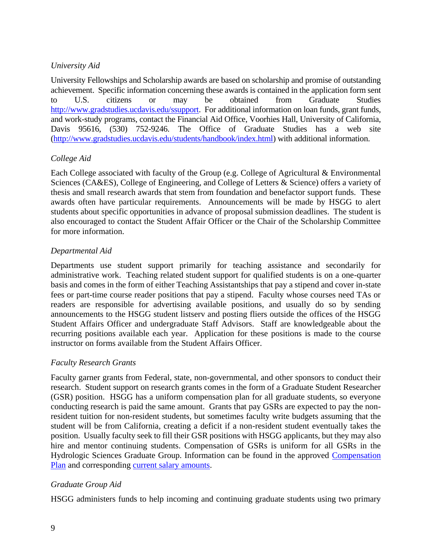# *University Aid*

University Fellowships and Scholarship awards are based on scholarship and promise of outstanding achievement. Specific information concerning these awards is contained in the application form sent to U.S. citizens or may be obtained from Graduate Studies [http://www.gradstudies.ucdavis.edu/ssupport.](http://www.gradstudies.ucdavis.edu/ssupport) For additional information on loan funds, grant funds, and work-study programs, contact the Financial Aid Office, Voorhies Hall, University of California, Davis 95616, (530) 752-9246. The Office of Graduate Studies has a web site [\(http://www.gradstudies.ucdavis.edu/students/handbook/index.html\)](http://www.gradstudies.ucdavis.edu/students/handbook/index.html) with additional information.

# *College Aid*

Each College associated with faculty of the Group (e.g. College of Agricultural & Environmental Sciences (CA&ES), College of Engineering, and College of Letters & Science) offers a variety of thesis and small research awards that stem from foundation and benefactor support funds. These awards often have particular requirements. Announcements will be made by HSGG to alert students about specific opportunities in advance of proposal submission deadlines. The student is also encouraged to contact the Student Affair Officer or the Chair of the Scholarship Committee for more information.

# *Departmental Aid*

Departments use student support primarily for teaching assistance and secondarily for administrative work. Teaching related student support for qualified students is on a one-quarter basis and comes in the form of either Teaching Assistantships that pay a stipend and cover in-state fees or part-time course reader positions that pay a stipend. Faculty whose courses need TAs or readers are responsible for advertising available positions, and usually do so by sending announcements to the HSGG student listserv and posting fliers outside the offices of the HSGG Student Affairs Officer and undergraduate Staff Advisors. Staff are knowledgeable about the recurring positions available each year. Application for these positions is made to the course instructor on forms available from the Student Affairs Officer.

# *Faculty Research Grants*

Faculty garner grants from Federal, state, non-governmental, and other sponsors to conduct their research. Student support on research grants comes in the form of a Graduate Student Researcher (GSR) position. HSGG has a uniform compensation plan for all graduate students, so everyone conducting research is paid the same amount. Grants that pay GSRs are expected to pay the nonresident tuition for non-resident students, but sometimes faculty write budgets assuming that the student will be from California, creating a deficit if a non-resident student eventually takes the position. Usually faculty seek to fill their GSR positions with HSGG applicants, but they may also hire and mentor continuing students. Compensation of GSRs is uniform for all GSRs in the Hydrologic Sciences Graduate Group. Information can be found in the approved [Compensation](https://grad.ucdavis.edu/sites/default/files/upload/files/facstaff/gsr-comp-plan/GHYS%20Hydrological%20Sciences%20April%202012.pdf)  [Plan](https://grad.ucdavis.edu/sites/default/files/upload/files/facstaff/gsr-comp-plan/GHYS%20Hydrological%20Sciences%20April%202012.pdf) and corresponding [current salary amounts.](https://grad.ucdavis.edu/sites/default/files/upload/files/facstaff/salary_19-20_october_1_2019.pdf)

# *Graduate Group Aid*

HSGG administers funds to help incoming and continuing graduate students using two primary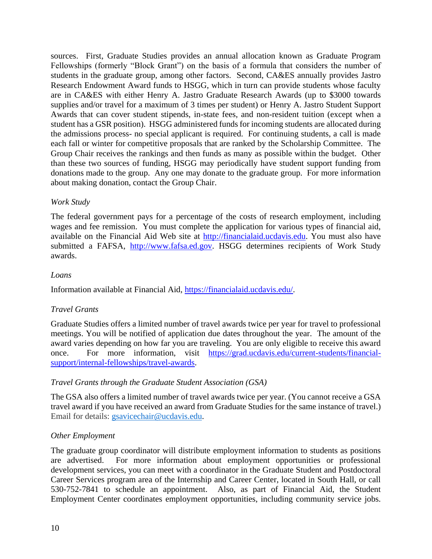sources. First, Graduate Studies provides an annual allocation known as Graduate Program Fellowships (formerly "Block Grant") on the basis of a formula that considers the number of students in the graduate group, among other factors. Second, CA&ES annually provides Jastro Research Endowment Award funds to HSGG, which in turn can provide students whose faculty are in CA&ES with either Henry A. Jastro Graduate Research Awards (up to \$3000 towards supplies and/or travel for a maximum of 3 times per student) or Henry A. Jastro Student Support Awards that can cover student stipends, in-state fees, and non-resident tuition (except when a student has a GSR position). HSGG administered funds for incoming students are allocated during the admissions process- no special applicant is required. For continuing students, a call is made each fall or winter for competitive proposals that are ranked by the Scholarship Committee. The Group Chair receives the rankings and then funds as many as possible within the budget. Other than these two sources of funding, HSGG may periodically have student support funding from donations made to the group. Any one may donate to the graduate group. For more information about making donation, contact the Group Chair.

# *Work Study*

The federal government pays for a percentage of the costs of research employment, including wages and fee remission. You must complete the application for various types of financial aid, available on the Financial Aid Web site at [http://financialaid.ucdavis.edu.](http://financialaid.ucdavis.edu/) You must also have submitted a FAFSA, [http://www.fafsa.ed.gov.](http://www.fafsa.ed.gov/) HSGG determines recipients of Work Study awards.

# *Loans*

Information available at Financial Aid, [https://financialaid.ucdavis.edu/.](https://financialaid.ucdavis.edu/)

# *Travel Grants*

Graduate Studies offers a limited number of travel awards twice per year for travel to professional meetings. You will be notified of application due dates throughout the year. The amount of the award varies depending on how far you are traveling. You are only eligible to receive this award once. For more information, visit [https://grad.ucdavis.edu/current-students/financial](https://grad.ucdavis.edu/current-students/financial-support/internal-fellowships/travel-awards)[support/internal-fellowships/travel-awards.](https://grad.ucdavis.edu/current-students/financial-support/internal-fellowships/travel-awards)

# *Travel Grants through the Graduate Student Association (GSA)*

The GSA also offers a limited number of travel awards twice per year. (You cannot receive a GSA travel award if you have received an award from Graduate Studies for the same instance of travel.) Email for details: [gsavicechair@ucdavis.edu.](mailto:gsavicechair@ucdavis.edu)

# *Other Employment*

The graduate group coordinator will distribute employment information to students as positions are advertised. For more information about employment opportunities or professional development services, you can meet with a coordinator in the Graduate Student and Postdoctoral Career Services program area of the Internship and Career Center, located in South Hall, or call 530-752-7841 to schedule an appointment. Also, as part of Financial Aid, the Student Employment Center coordinates employment opportunities, including community service jobs.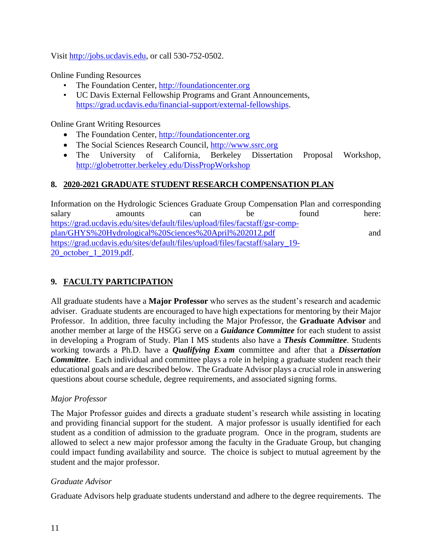Visit [http://jobs.ucdavis.edu,](http://jobs.ucdavis.edu/) or call 530-752-0502.

Online Funding Resources

- The Foundation Center, [http://foundationcenter.org](http://foundationcenter.org/)
- UC Davis External Fellowship Programs and Grant Announcements, [https://grad.ucdavis.edu/financial-support/external-fellowships.](https://grad.ucdavis.edu/financial-support/external-fellowships)

Online Grant Writing Resources

- The Foundation Center, [http://foundationcenter.org](http://foundationcenter.org/)
- The Social Sciences Research Council, [http://www.ssrc.org](http://www.ssrc.org/)
- The University of California, Berkeley Dissertation Proposal Workshop, <http://globetrotter.berkeley.edu/DissPropWorkshop>

# **8. 2020-2021 GRADUATE STUDENT RESEARCH COMPENSATION PLAN**

Information on the Hydrologic Sciences Graduate Group Compensation Plan and corresponding salary amounts can be found here: [https://grad.ucdavis.edu/sites/default/files/upload/files/facstaff/gsr-comp](https://grad.ucdavis.edu/sites/default/files/upload/files/facstaff/gsr-comp-plan/GHYS%20Hydrological%20Sciences%20April%202012.pdf)[plan/GHYS%20Hydrological%20Sciences%20April%202012.pdf](https://grad.ucdavis.edu/sites/default/files/upload/files/facstaff/gsr-comp-plan/GHYS%20Hydrological%20Sciences%20April%202012.pdf) and [https://grad.ucdavis.edu/sites/default/files/upload/files/facstaff/salary\\_19-](https://grad.ucdavis.edu/sites/default/files/upload/files/facstaff/salary_19-20_october_1_2019.pdf) [20\\_october\\_1\\_2019.pdf.](https://grad.ucdavis.edu/sites/default/files/upload/files/facstaff/salary_19-20_october_1_2019.pdf)

# **9. FACULTY PARTICIPATION**

All graduate students have a **Major Professor** who serves as the student's research and academic adviser. Graduate students are encouraged to have high expectations for mentoring by their Major Professor. In addition, three faculty including the Major Professor, the **Graduate Advisor** and another member at large of the HSGG serve on a *Guidance Committee* for each student to assist in developing a Program of Study. Plan I MS students also have a *Thesis Committee*. Students working towards a Ph.D. have a *Qualifying Exam* committee and after that a *Dissertation Committee*. Each individual and committee plays a role in helping a graduate student reach their educational goals and are described below. The Graduate Advisor plays a crucial role in answering questions about course schedule, degree requirements, and associated signing forms.

# *Major Professor*

The Major Professor guides and directs a graduate student's research while assisting in locating and providing financial support for the student. A major professor is usually identified for each student as a condition of admission to the graduate program. Once in the program, students are allowed to select a new major professor among the faculty in the Graduate Group, but changing could impact funding availability and source. The choice is subject to mutual agreement by the student and the major professor.

# *Graduate Advisor*

Graduate Advisors help graduate students understand and adhere to the degree requirements. The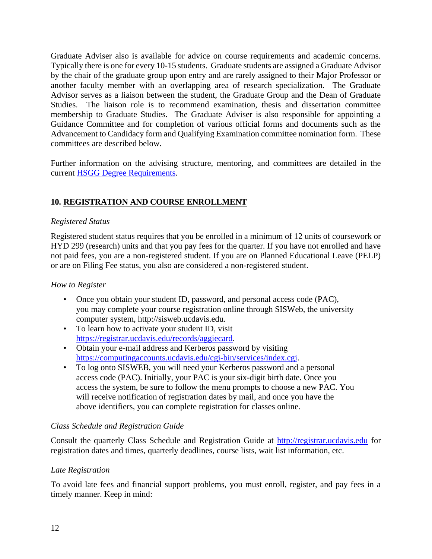Graduate Adviser also is available for advice on course requirements and academic concerns. Typically there is one for every 10-15 students. Graduate students are assigned a Graduate Advisor by the chair of the graduate group upon entry and are rarely assigned to their Major Professor or another faculty member with an overlapping area of research specialization. The Graduate Advisor serves as a liaison between the student, the Graduate Group and the Dean of Graduate Studies. The liaison role is to recommend examination, thesis and dissertation committee membership to Graduate Studies. The Graduate Adviser is also responsible for appointing a Guidance Committee and for completion of various official forms and documents such as the Advancement to Candidacy form and Qualifying Examination committee nomination form. These committees are described below.

Further information on the advising structure, mentoring, and committees are detailed in the current [HSGG Degree Requirements.](https://www.hsgg.ucdavis.edu/requirements)

# **10. REGISTRATION AND COURSE ENROLLMENT**

#### *Registered Status*

Registered student status requires that you be enrolled in a minimum of 12 units of coursework or HYD 299 (research) units and that you pay fees for the quarter. If you have not enrolled and have not paid fees, you are a non-registered student. If you are on Planned Educational Leave (PELP) or are on Filing Fee status, you also are considered a non-registered student.

#### *How to Register*

- Once you obtain your student ID, password, and personal access code (PAC), you may complete your course registration online through SISWeb, the university computer system, http://sisweb.ucdavis.edu.
- To learn how to activate your student ID, visit [https://registrar.ucdavis.edu/records/aggiecard.](https://registrar.ucdavis.edu/records/aggiecard)
- Obtain your e-mail address and Kerberos password by visiting [https://computingaccounts.ucdavis.edu/cgi-bin/services/index.cgi.](https://computingaccounts.ucdavis.edu/cgi-bin/services/index.cgi)
- To log onto SISWEB, you will need your Kerberos password and a personal access code (PAC). Initially, your PAC is your six-digit birth date. Once you access the system, be sure to follow the menu prompts to choose a new PAC. You will receive notification of registration dates by mail, and once you have the above identifiers, you can complete registration for classes online.

# *Class Schedule and Registration Guide*

Consult the quarterly Class Schedule and Registration Guide at [http://registrar.ucdavis.edu](http://registrar.ucdavis.edu/) for registration dates and times, quarterly deadlines, course lists, wait list information, etc.

# *Late Registration*

To avoid late fees and financial support problems, you must enroll, register, and pay fees in a timely manner. Keep in mind: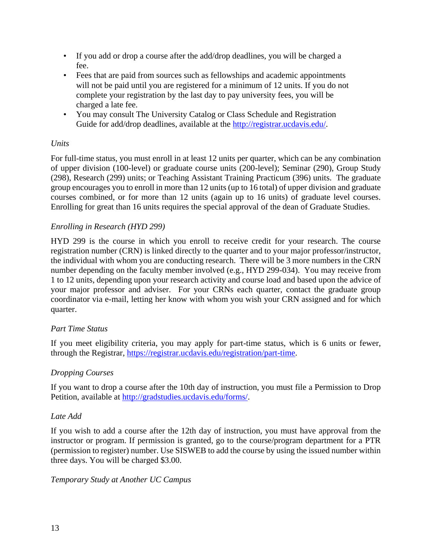- If you add or drop a course after the add/drop deadlines, you will be charged a fee.
- Fees that are paid from sources such as fellowships and academic appointments will not be paid until you are registered for a minimum of 12 units. If you do not complete your registration by the last day to pay university fees, you will be charged a late fee.
- You may consult The University Catalog or Class Schedule and Registration Guide for add/drop deadlines, available at the [http://registrar.ucdavis.edu/.](http://registrar.ucdavis.edu/)

# *Units*

For full-time status, you must enroll in at least 12 units per quarter, which can be any combination of upper division (100-level) or graduate course units (200-level); Seminar (290), Group Study (298), Research (299) units; or Teaching Assistant Training Practicum (396) units. The graduate group encourages you to enroll in more than 12 units (up to 16 total) of upper division and graduate courses combined, or for more than 12 units (again up to 16 units) of graduate level courses. Enrolling for great than 16 units requires the special approval of the dean of Graduate Studies.

# *Enrolling in Research (HYD 299)*

HYD 299 is the course in which you enroll to receive credit for your research. The course registration number (CRN) is linked directly to the quarter and to your major professor/instructor, the individual with whom you are conducting research. There will be 3 more numbers in the CRN number depending on the faculty member involved (e.g., HYD 299-034). You may receive from 1 to 12 units, depending upon your research activity and course load and based upon the advice of your major professor and adviser. For your CRNs each quarter, contact the graduate group coordinator via e-mail, letting her know with whom you wish your CRN assigned and for which quarter.

# *Part Time Status*

If you meet eligibility criteria, you may apply for part-time status, which is 6 units or fewer, through the Registrar, [https://registrar.ucdavis.edu/registration/part-time.](https://registrar.ucdavis.edu/registration/part-time)

# *Dropping Courses*

If you want to drop a course after the 10th day of instruction, you must file a Permission to Drop Petition, available at [http://gradstudies.ucdavis.edu/forms/.](http://gradstudies.ucdavis.edu/forms/)

#### *Late Add*

If you wish to add a course after the 12th day of instruction, you must have approval from the instructor or program. If permission is granted, go to the course/program department for a PTR (permission to register) number. Use SISWEB to add the course by using the issued number within three days. You will be charged \$3.00.

#### *Temporary Study at Another UC Campus*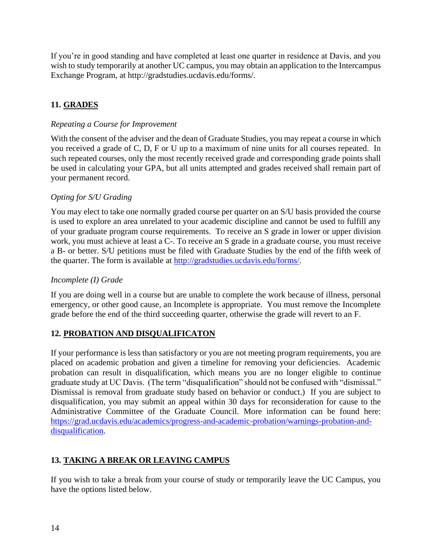If you're in good standing and have completed at least one quarter in residence at Davis, and you wish to study temporarily at another UC campus, you may obtain an application to the Intercampus Exchange Program, at http://gradstudies.ucdavis.edu/forms/.

# **11. GRADES**

# *Repeating a Course for Improvement*

With the consent of the adviser and the dean of Graduate Studies, you may repeat a course in which you received a grade of C, D, F or U up to a maximum of nine units for all courses repeated. In such repeated courses, only the most recently received grade and corresponding grade points shall be used in calculating your GPA, but all units attempted and grades received shall remain part of your permanent record.

# *Opting for S/U Grading*

You may elect to take one normally graded course per quarter on an S/U basis provided the course is used to explore an area unrelated to your academic discipline and cannot be used to fulfill any of your graduate program course requirements. To receive an S grade in lower or upper division work, you must achieve at least a C-. To receive an S grade in a graduate course, you must receive a B- or better. S/U petitions must be filed with Graduate Studies by the end of the fifth week of the quarter. The form is available at [http://gradstudies.ucdavis.edu/forms/.](http://gradstudies.ucdavis.edu/forms/)

# *Incomplete (I) Grade*

If you are doing well in a course but are unable to complete the work because of illness, personal emergency, or other good cause, an Incomplete is appropriate. You must remove the Incomplete grade before the end of the third succeeding quarter, otherwise the grade will revert to an F.

# **12. PROBATION AND DISQUALIFICATON**

If your performance is less than satisfactory or you are not meeting program requirements, you are placed on academic probation and given a timeline for removing your deficiencies. Academic probation can result in disqualification, which means you are no longer eligible to continue graduate study at UC Davis. (The term "disqualification" should not be confused with "dismissal." Dismissal is removal from graduate study based on behavior or conduct.) If you are subject to disqualification, you may submit an appeal within 30 days for reconsideration for cause to the Administrative Committee of the Graduate Council. More information can be found here: [https://grad.ucdavis.edu/academics/progress-and-academic-probation/warnings-probation-and](https://grad.ucdavis.edu/academics/progress-and-academic-probation/warnings-probation-and-disqualification)[disqualification.](https://grad.ucdavis.edu/academics/progress-and-academic-probation/warnings-probation-and-disqualification)

# **13. TAKING A BREAK OR LEAVING CAMPUS**

If you wish to take a break from your course of study or temporarily leave the UC Campus, you have the options listed below.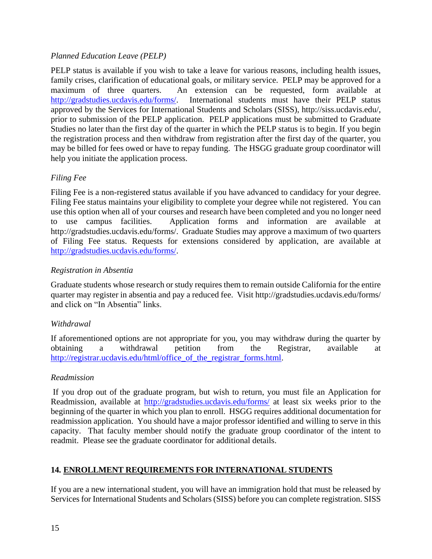# *Planned Education Leave (PELP)*

PELP status is available if you wish to take a leave for various reasons, including health issues, family crises, clarification of educational goals, or military service. PELP may be approved for a maximum of three quarters. An extension can be requested, form available at [http://gradstudies.ucdavis.edu/forms/.](http://gradstudies.ucdavis.edu/forms/) International students must have their PELP status approved by the Services for International Students and Scholars (SISS), http://siss.ucdavis.edu/, prior to submission of the PELP application. PELP applications must be submitted to Graduate Studies no later than the first day of the quarter in which the PELP status is to begin. If you begin the registration process and then withdraw from registration after the first day of the quarter, you may be billed for fees owed or have to repay funding. The HSGG graduate group coordinator will help you initiate the application process.

# *Filing Fee*

Filing Fee is a non-registered status available if you have advanced to candidacy for your degree. Filing Fee status maintains your eligibility to complete your degree while not registered. You can use this option when all of your courses and research have been completed and you no longer need to use campus facilities. Application forms and information are available at http://gradstudies.ucdavis.edu/forms/. Graduate Studies may approve a maximum of two quarters of Filing Fee status. Requests for extensions considered by application, are available at [http://gradstudies.ucdavis.edu/forms/.](http://gradstudies.ucdavis.edu/forms/)

# *Registration in Absentia*

Graduate students whose research or study requires them to remain outside California for the entire quarter may register in absentia and pay a reduced fee. Visit http://gradstudies.ucdavis.edu/forms/ and click on "In Absentia" links.

# *Withdrawal*

If aforementioned options are not appropriate for you, you may withdraw during the quarter by obtaining a withdrawal petition from the Registrar, available at http://registrar.ucdavis.edu/html/office of the registrar forms.html.

# *Readmission*

If you drop out of the graduate program, but wish to return, you must file an Application for Readmission, available at<http://gradstudies.ucdavis.edu/forms/> at least six weeks prior to the beginning of the quarter in which you plan to enroll. HSGG requires additional documentation for readmission application. You should have a major professor identified and willing to serve in this capacity. That faculty member should notify the graduate group coordinator of the intent to readmit. Please see the graduate coordinator for additional details.

# **14. ENROLLMENT REQUIREMENTS FOR INTERNATIONAL STUDENTS**

If you are a new international student, you will have an immigration hold that must be released by Services for International Students and Scholars (SISS) before you can complete registration. SISS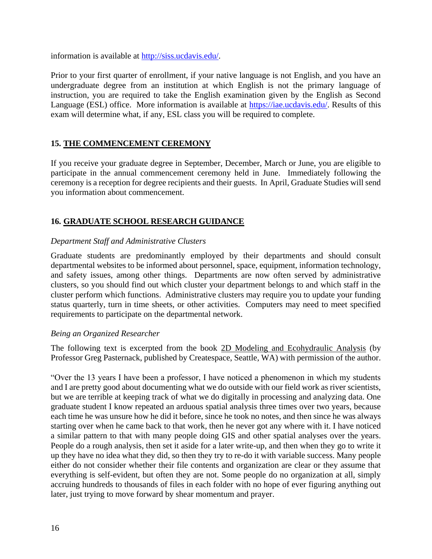information is available at [http://siss.ucdavis.edu/.](http://siss.ucdavis.edu/)

Prior to your first quarter of enrollment, if your native language is not English, and you have an undergraduate degree from an institution at which English is not the primary language of instruction, you are required to take the English examination given by the English as Second Language (ESL) office. More information is available at [https://iae.ucdavis.edu/.](https://iae.ucdavis.edu/) Results of this exam will determine what, if any, ESL class you will be required to complete.

#### **15. THE COMMENCEMENT CEREMONY**

If you receive your graduate degree in September, December, March or June, you are eligible to participate in the annual commencement ceremony held in June. Immediately following the ceremony is a reception for degree recipients and their guests. In April, Graduate Studies will send you information about commencement.

# **16. GRADUATE SCHOOL RESEARCH GUIDANCE**

# *Department Staff and Administrative Clusters*

Graduate students are predominantly employed by their departments and should consult departmental websites to be informed about personnel, space, equipment, information technology, and safety issues, among other things. Departments are now often served by administrative clusters, so you should find out which cluster your department belongs to and which staff in the cluster perform which functions. Administrative clusters may require you to update your funding status quarterly, turn in time sheets, or other activities. Computers may need to meet specified requirements to participate on the departmental network.

#### *Being an Organized Researcher*

The following text is excerpted from the book 2D Modeling and Ecohydraulic Analysis (by Professor Greg Pasternack, published by Createspace, Seattle, WA) with permission of the author.

"Over the 13 years I have been a professor, I have noticed a phenomenon in which my students and I are pretty good about documenting what we do outside with our field work as river scientists, but we are terrible at keeping track of what we do digitally in processing and analyzing data. One graduate student I know repeated an arduous spatial analysis three times over two years, because each time he was unsure how he did it before, since he took no notes, and then since he was always starting over when he came back to that work, then he never got any where with it. I have noticed a similar pattern to that with many people doing GIS and other spatial analyses over the years. People do a rough analysis, then set it aside for a later write-up, and then when they go to write it up they have no idea what they did, so then they try to re-do it with variable success. Many people either do not consider whether their file contents and organization are clear or they assume that everything is self-evident, but often they are not. Some people do no organization at all, simply accruing hundreds to thousands of files in each folder with no hope of ever figuring anything out later, just trying to move forward by shear momentum and prayer.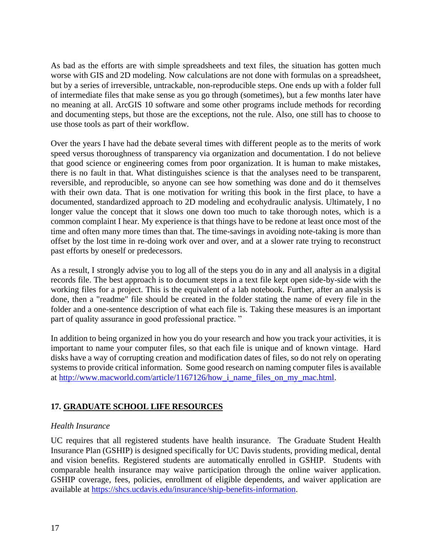As bad as the efforts are with simple spreadsheets and text files, the situation has gotten much worse with GIS and 2D modeling. Now calculations are not done with formulas on a spreadsheet, but by a series of irreversible, untrackable, non-reproducible steps. One ends up with a folder full of intermediate files that make sense as you go through (sometimes), but a few months later have no meaning at all. ArcGIS 10 software and some other programs include methods for recording and documenting steps, but those are the exceptions, not the rule. Also, one still has to choose to use those tools as part of their workflow.

Over the years I have had the debate several times with different people as to the merits of work speed versus thoroughness of transparency via organization and documentation. I do not believe that good science or engineering comes from poor organization. It is human to make mistakes, there is no fault in that. What distinguishes science is that the analyses need to be transparent, reversible, and reproducible, so anyone can see how something was done and do it themselves with their own data. That is one motivation for writing this book in the first place, to have a documented, standardized approach to 2D modeling and ecohydraulic analysis. Ultimately, I no longer value the concept that it slows one down too much to take thorough notes, which is a common complaint I hear. My experience is that things have to be redone at least once most of the time and often many more times than that. The time-savings in avoiding note-taking is more than offset by the lost time in re-doing work over and over, and at a slower rate trying to reconstruct past efforts by oneself or predecessors.

As a result, I strongly advise you to log all of the steps you do in any and all analysis in a digital records file. The best approach is to document steps in a text file kept open side-by-side with the working files for a project. This is the equivalent of a lab notebook. Further, after an analysis is done, then a "readme" file should be created in the folder stating the name of every file in the folder and a one-sentence description of what each file is. Taking these measures is an important part of quality assurance in good professional practice. "

In addition to being organized in how you do your research and how you track your activities, it is important to name your computer files, so that each file is unique and of known vintage. Hard disks have a way of corrupting creation and modification dates of files, so do not rely on operating systems to provide critical information. Some good research on naming computer files is available at http://www.macworld.com/article/1167126/how i name files on my mac.html.

# **17. GRADUATE SCHOOL LIFE RESOURCES**

# *Health Insurance*

UC requires that all registered students have health insurance. The Graduate Student Health Insurance Plan (GSHIP) is designed specifically for UC Davis students, providing medical, dental and vision benefits. Registered students are automatically enrolled in GSHIP. Students with comparable health insurance may waive participation through the online waiver application. GSHIP coverage, fees, policies, enrollment of eligible dependents, and waiver application are available at [https://shcs.ucdavis.edu/insurance/ship-benefits-information.](https://shcs.ucdavis.edu/insurance/ship-benefits-information)